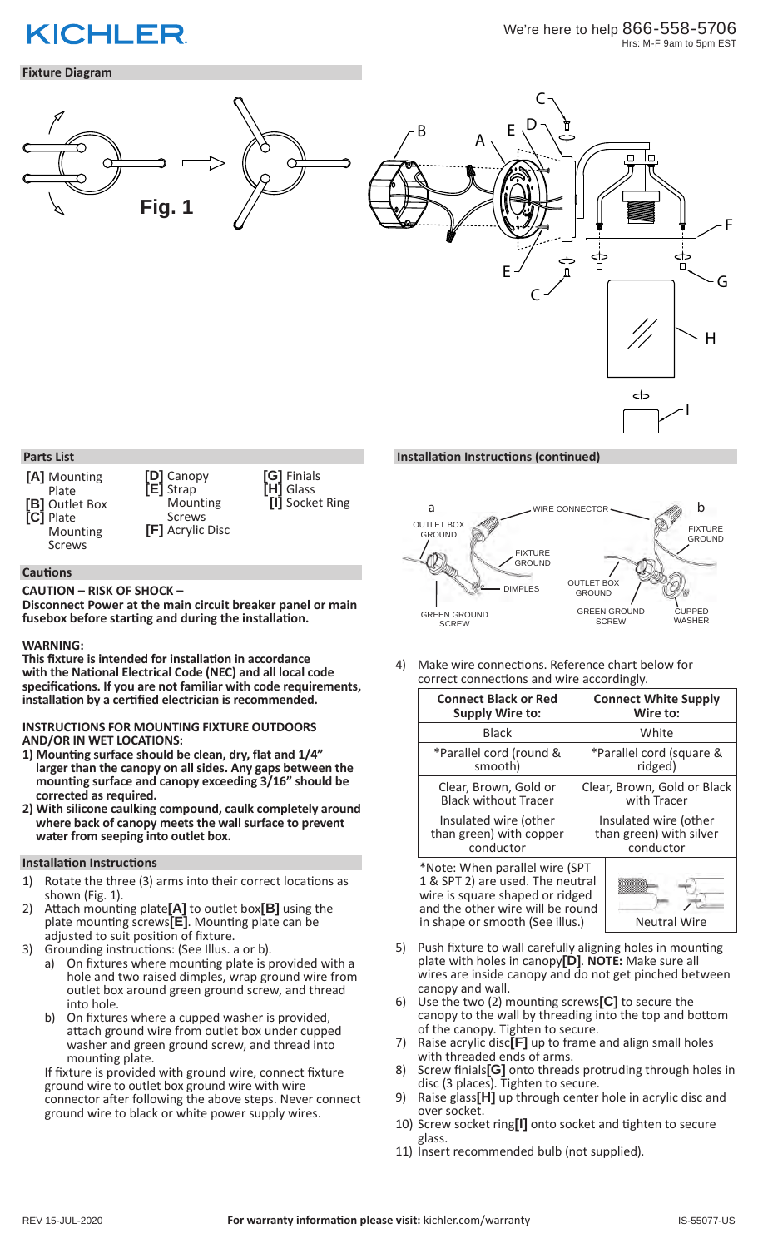# **KICHLER**

# **Fixture Diagram**



# **Parts List**

| [A] Mounting<br>Plate<br>[B] Outlet Box<br>$[C]$ Plate<br>Mounting<br><b>Screws</b> | [D] Canopy<br>[E] Strap<br>Mounting<br><b>Screws</b><br><b>[F]</b> Acrylic Disc | [G] Finials<br>[H] Glass<br>[I] Socket Ring |
|-------------------------------------------------------------------------------------|---------------------------------------------------------------------------------|---------------------------------------------|
|-------------------------------------------------------------------------------------|---------------------------------------------------------------------------------|---------------------------------------------|

### **Cautions**

### **CAUTION – RISK OF SHOCK –**

**Disconnect Power at the main circuit breaker panel or main fusebox before starting and during the installation.** 

### **WARNING:**

**This fixture is intended for installation in accordance with the National Electrical Code (NEC) and all local code specifications. If you are not familiar with code requirements, installation by a certified electrician is recommended.**

### **INSTRUCTIONS FOR MOUNTING FIXTURE OUTDOORS AND/OR IN WET LOCATIONS:**

- **1) Mounting surface should be clean, dry, flat and 1/4" larger than the canopy on all sides. Any gaps between the mounting surface and canopy exceeding 3/16" should be corrected as required.**
- **2) With silicone caulking compound, caulk completely around where back of canopy meets the wall surface to prevent water from seeping into outlet box.**

### **Installation Instructions**

- 1) Rotate the three (3) arms into their correct locations as shown (Fig. 1).
- 2) Attach mounting plate**[A]** to outlet box**[B]** using the plate mounting screws**[E]**. Mounting plate can be adjusted to suit position of fixture.
- 3) Grounding instructions: (See Illus. a or b).
	- a) On fixtures where mounting plate is provided with a hole and two raised dimples, wrap ground wire from outlet box around green ground screw, and thread into hole.
	- b) On fixtures where a cupped washer is provided, attach ground wire from outlet box under cupped washer and green ground screw, and thread into mounting plate.

If fixture is provided with ground wire, connect fixture ground wire to outlet box ground wire with wire connector after following the above steps. Never connect ground wire to black or white power supply wires.

### **Installation Instructions (continued)**



4) Make wire connections. Reference chart below for correct connections and wire accordingly.

| <b>Connect Black or Red</b>                                        | <b>Connect White Supply</b> |
|--------------------------------------------------------------------|-----------------------------|
| <b>Supply Wire to:</b>                                             | Wire to:                    |
| <b>Black</b>                                                       | White                       |
| *Parallel cord (round &                                            | *Parallel cord (square &    |
| smooth)                                                            | ridged)                     |
| Clear, Brown, Gold or                                              | Clear, Brown, Gold or Black |
| <b>Black without Tracer</b>                                        | with Tracer                 |
| Insulated wire (other                                              | Insulated wire (other       |
| than green) with copper                                            | than green) with silver     |
| conductor                                                          | conductor                   |
| *Note: When parallel wire (SPT<br>1 & SPT 2) are used. The neutral |                             |

wire is square shaped or ridged and the other wire will be round in shape or smooth (See illus.)  $\parallel$  Neutral Wire



- Push fixture to wall carefully aligning holes in mounting plate with holes in canopy**[D]**. **NOTE:** Make sure all wires are inside canopy and do not get pinched between canopy and wall.
- 6) Use the two (2) mounting screws**[C]** to secure the canopy to the wall by threading into the top and bottom of the canopy. Tighten to secure.
- 7) Raise acrylic disc**[F]** up to frame and align small holes with threaded ends of arms.
- 8) Screw finials**[G]** onto threads protruding through holes in disc (3 places). Tighten to secure.
- 9) Raise glass**[H]** up through center hole in acrylic disc and over socket.
- 10) Screw socket ring**[I]** onto socket and tighten to secure glass.
- 11) Insert recommended bulb (not supplied).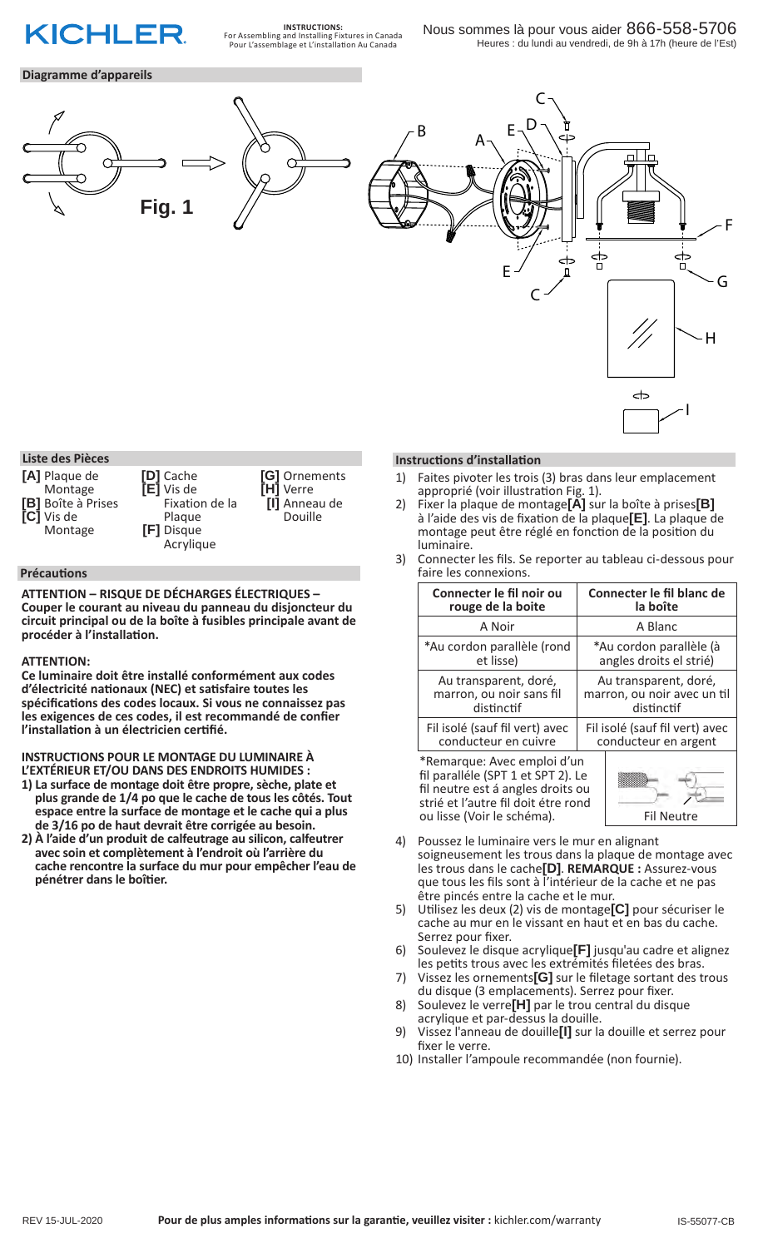

**INSTRUCTIONS:** For Assembling and Installing Fixtures in Canada Pour L'assemblage et L'installation Au Canada

### **Diagramme d'appareils**



# **Liste des Pièces**

| [A] Plaque de      | [D] Cache         | [G] Ornements |
|--------------------|-------------------|---------------|
| Montage            | <b>[E]</b> Vis de | [H] Verre     |
| [B] Boîte à Prises | Fixation de la    | [I] Anneau de |
| [C] Vis de         | Plaque            | Douille       |
| Montage            | <b>[F]</b> Disque |               |
|                    | Acrylique         |               |

### **Précautions**

**ATTENTION – RISQUE DE DÉCHARGES ÉLECTRIQUES – Couper le courant au niveau du panneau du disjoncteur du circuit principal ou de la boîte à fusibles principale avant de procéder à l'installation.**

#### **ATTENTION:**

**Ce luminaire doit être installé conformément aux codes d'électricité nationaux (NEC) et satisfaire toutes les spécifications des codes locaux. Si vous ne connaissez pas les exigences de ces codes, il est recommandé de confier l'installation à un électricien certifié.**

# **INSTRUCTIONS POUR LE MONTAGE DU LUMINAIRE À L'EXTÉRIEUR ET/OU DANS DES ENDROITS HUMIDES :**

- **1) La surface de montage doit être propre, sèche, plate et plus grande de 1/4 po que le cache de tous les côtés. Tout espace entre la surface de montage et le cache qui a plus de 3/16 po de haut devrait être corrigée au besoin.**
- **2) À l'aide d'un produit de calfeutrage au silicon, calfeutrer avec soin et complètement à l'endroit où l'arrière du cache rencontre la surface du mur pour empêcher l'eau de pénétrer dans le boîtier.**

### **Instructions d'installation**

- 1) Faites pivoter les trois (3) bras dans leur emplacement approprié (voir illustration Fig. 1).
- 2) Fixer la plaque de montage**[A]** sur la boîte à prises**[B]** à l'aide des vis de fixation de la plaque**[E]**. La plaque de montage peut être réglé en fonction de la position du luminaire.
- 3) Connecter les fils. Se reporter au tableau ci-dessous pour faire les connexions.

| Connecter le fil noir ou                                                                                                                                                    | Connecter le fil blanc de      |  |
|-----------------------------------------------------------------------------------------------------------------------------------------------------------------------------|--------------------------------|--|
| rouge de la boite                                                                                                                                                           | la boîte                       |  |
| A Noir                                                                                                                                                                      | A Blanc                        |  |
| *Au cordon parallèle (rond                                                                                                                                                  | *Au cordon parallèle (à        |  |
| et lisse)                                                                                                                                                                   | angles droits el strié)        |  |
| Au transparent, doré,                                                                                                                                                       | Au transparent, doré,          |  |
| marron, ou noir sans fil                                                                                                                                                    | marron, ou noir avec un til    |  |
| distinctif                                                                                                                                                                  | distinctif                     |  |
| Fil isolé (sauf fil vert) avec                                                                                                                                              | Fil isolé (sauf fil vert) avec |  |
| conducteur en cuivre                                                                                                                                                        | conducteur en argent           |  |
| *Remarque: Avec emploi d'un<br>fil paralléle (SPT 1 et SPT 2). Le<br>fil neutre est á angles droits ou<br>strié et l'autre fil doit étre rond<br>ou lisse (Voir le schéma). | <b>Fil Neutre</b>              |  |

- 4) Poussez le luminaire vers le mur en alignant soigneusement les trous dans la plaque de montage avec les trous dans le cache**[D]**. **REMARQUE :** Assurez-vous que tous les fils sont à l'intérieur de la cache et ne pas être pincés entre la cache et le mur.
- 5) Utilisez les deux (2) vis de montage**[C]** pour sécuriser le cache au mur en le vissant en haut et en bas du cache. Serrez pour fixer.
- 6) Soulevez le disque acrylique**[F]** jusqu'au cadre et alignez les petits trous avec les extrémités filetées des bras.
- 7) Vissez les ornements**[G]** sur le filetage sortant des trous du disque (3 emplacements). Serrez pour fixer.
- 8) Soulevez le verre**[H]** par le trou central du disque acrylique et par-dessus la douille.
- 9) Vissez l'anneau de douille**[I]** sur la douille et serrez pour fixer le verre.
- 10) Installer l'ampoule recommandée (non fournie).